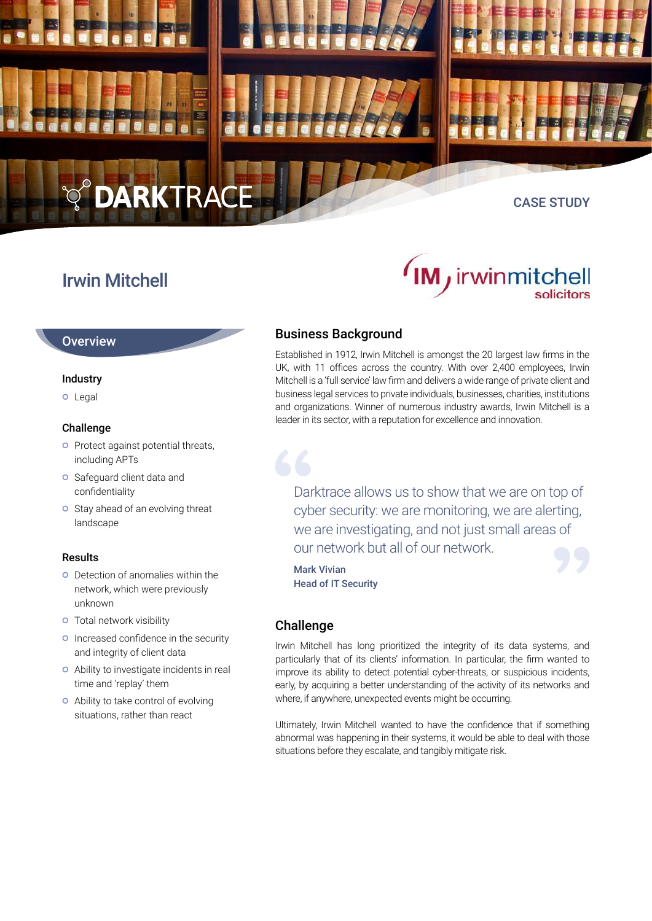

## Irwin Mitchell

#### **Overview**

#### Industry

o Legal

#### Challenge

- **o** Protect against potential threats, including APTs
- **o** Safeguard client data and confidentiality
- **o** Stay ahead of an evolving threat landscape

#### Results

- Detection of anomalies within the network, which were previously unknown
- **o** Total network visibility
- **O** Increased confidence in the security and integrity of client data
- Ability to investigate incidents in real time and 'replay' them
- Ability to take control of evolving situations, rather than react

# *(IM j* irwinmitchell solicitors

## Business Background

Established in 1912, Irwin Mitchell is amongst the 20 largest law firms in the UK, with 11 offices across the country. With over 2,400 employees, Irwin Mitchell is a 'full service' law firm and delivers a wide range of private client and business legal services to private individuals, businesses, charities, institutions and organizations. Winner of numerous industry awards, Irwin Mitchell is a leader in its sector, with a reputation for excellence and innovation.

Darktrace allows us to show that we are on top of cyber security: we are monitoring, we are alerting, we are investigating, and not just small areas of our network but all of our network.

Mark Vivian Head of IT Security

## Challenge

Irwin Mitchell has long prioritized the integrity of its data systems, and particularly that of its clients' information. In particular, the firm wanted to improve its ability to detect potential cyber-threats, or suspicious incidents, early, by acquiring a better understanding of the activity of its networks and where, if anywhere, unexpected events might be occurring.

Ultimately, Irwin Mitchell wanted to have the confidence that if something abnormal was happening in their systems, it would be able to deal with those situations before they escalate, and tangibly mitigate risk.